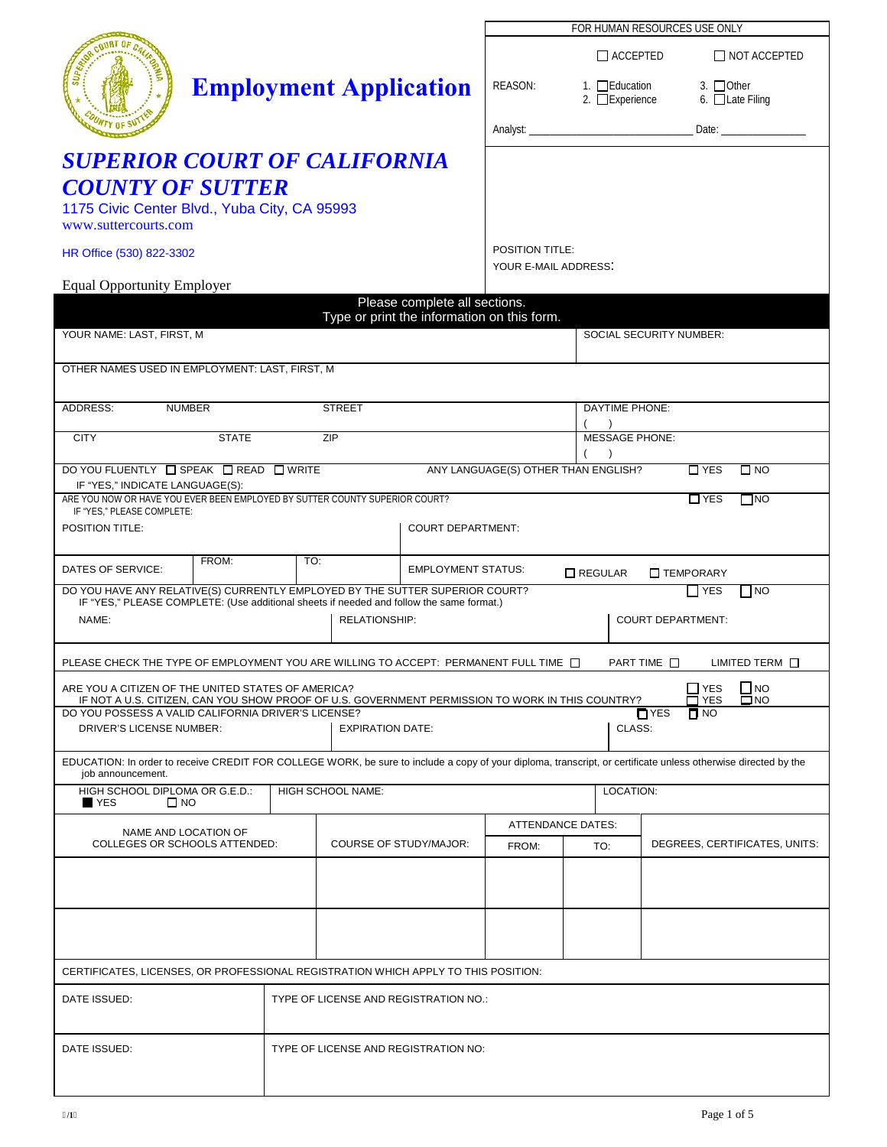|                                                                                                                                                                |                                                                            |                               |                                             |                               | FOR HUMAN RESOURCES USE ONLY            |                                             |                               |                                                                                                                                                                                                                               |  |
|----------------------------------------------------------------------------------------------------------------------------------------------------------------|----------------------------------------------------------------------------|-------------------------------|---------------------------------------------|-------------------------------|-----------------------------------------|---------------------------------------------|-------------------------------|-------------------------------------------------------------------------------------------------------------------------------------------------------------------------------------------------------------------------------|--|
|                                                                                                                                                                |                                                                            |                               |                                             |                               |                                         | $\Box$ accepted                             |                               | $\Box$ NOT ACCEPTED                                                                                                                                                                                                           |  |
|                                                                                                                                                                |                                                                            |                               | <b>Employment Application</b>               |                               | REASON:                                 | 1. $\Box$ Education<br>2. $\Box$ Experience |                               | 3. $\Box$ Other<br>6. $\Box$ Late Filing                                                                                                                                                                                      |  |
|                                                                                                                                                                |                                                                            |                               |                                             |                               |                                         |                                             |                               | Date: and the contract of the contract of the contract of the contract of the contract of the contract of the contract of the contract of the contract of the contract of the contract of the contract of the contract of the |  |
| <b>SUPERIOR COURT OF CALIFORNIA</b>                                                                                                                            |                                                                            |                               |                                             |                               |                                         |                                             |                               |                                                                                                                                                                                                                               |  |
| <b>COUNTY OF SUTTER</b><br>1175 Civic Center Blvd., Yuba City, CA 95993<br>www.suttercourts.com                                                                |                                                                            |                               |                                             |                               |                                         |                                             |                               |                                                                                                                                                                                                                               |  |
| HR Office (530) 822-3302                                                                                                                                       |                                                                            |                               |                                             |                               | POSITION TITLE:<br>YOUR E-MAIL ADDRESS: |                                             |                               |                                                                                                                                                                                                                               |  |
| <b>Equal Opportunity Employer</b>                                                                                                                              |                                                                            |                               |                                             |                               |                                         |                                             |                               |                                                                                                                                                                                                                               |  |
|                                                                                                                                                                |                                                                            |                               |                                             | Please complete all sections. |                                         |                                             |                               |                                                                                                                                                                                                                               |  |
| YOUR NAME: LAST, FIRST, M                                                                                                                                      |                                                                            |                               | Type or print the information on this form. |                               |                                         | <b>SOCIAL SECURITY NUMBER:</b>              |                               |                                                                                                                                                                                                                               |  |
| OTHER NAMES USED IN EMPLOYMENT: LAST, FIRST, M                                                                                                                 |                                                                            |                               |                                             |                               |                                         |                                             |                               |                                                                                                                                                                                                                               |  |
| ADDRESS:<br><b>NUMBER</b>                                                                                                                                      |                                                                            |                               | <b>STREET</b>                               |                               |                                         | <b>DAYTIME PHONE:</b>                       |                               |                                                                                                                                                                                                                               |  |
| <b>CITY</b>                                                                                                                                                    | <b>STATE</b>                                                               |                               | ZIP                                         |                               |                                         |                                             | <b>MESSAGE PHONE:</b>         |                                                                                                                                                                                                                               |  |
| ANY LANGUAGE(S) OTHER THAN ENGLISH?<br>DO YOU FLUENTLY □ SPEAK □ READ □ WRITE<br>$\Box$ YES<br>$\square$ NO<br>IF "YES," INDICATE LANGUAGE(S):                 |                                                                            |                               |                                             |                               |                                         |                                             |                               |                                                                                                                                                                                                                               |  |
| ARE YOU NOW OR HAVE YOU EVER BEEN EMPLOYED BY SUTTER COUNTY SUPERIOR COURT?<br>IF "YES," PLEASE COMPLETE:                                                      |                                                                            |                               |                                             |                               |                                         |                                             |                               | $\Box$ YES<br>$\Box$ NO                                                                                                                                                                                                       |  |
| <b>POSITION TITLE:</b>                                                                                                                                         |                                                                            |                               |                                             | <b>COURT DEPARTMENT:</b>      |                                         |                                             |                               |                                                                                                                                                                                                                               |  |
| DATES OF SERVICE:                                                                                                                                              | FROM:<br>TO:<br><b>EMPLOYMENT STATUS:</b><br>$\Box$ REGULAR<br>□ TEMPORARY |                               |                                             |                               |                                         |                                             |                               |                                                                                                                                                                                                                               |  |
| DO YOU HAVE ANY RELATIVE(S) CURRENTLY EMPLOYED BY THE SUTTER SUPERIOR COURT?                                                                                   |                                                                            |                               |                                             |                               |                                         |                                             |                               | $\prod$ YES<br>$\Box$ NO                                                                                                                                                                                                      |  |
| IF "YES," PLEASE COMPLETE: (Use additional sheets if needed and follow the same format.)<br>NAME:<br><b>COURT DEPARTMENT:</b><br>RELATIONSHIP:                 |                                                                            |                               |                                             |                               |                                         |                                             |                               |                                                                                                                                                                                                                               |  |
| PLEASE CHECK THE TYPE OF EMPLOYMENT YOU ARE WILLING TO ACCEPT: PERMANENT FULL TIME $\Box$<br>PART TIME $\square$<br>$LIMITED TERM$ $\Box$                      |                                                                            |                               |                                             |                               |                                         |                                             |                               |                                                                                                                                                                                                                               |  |
| ARE YOU A CITIZEN OF THE UNITED STATES OF AMERICA?<br>IF NOT A U.S. CITIZEN, CAN YOU SHOW PROOF OF U.S. GOVERNMENT PERMISSION TO WORK IN THIS COUNTRY?         |                                                                            |                               |                                             |                               |                                         |                                             |                               | $\Box$ NO<br>$\Box$ YES<br>$\square$ NO<br><b>1</b> YES                                                                                                                                                                       |  |
| DO YOU POSSESS A VALID CALIFORNIA DRIVER'S LICENSE?<br>$\Box$ YES<br>$\blacksquare$ NO<br>CLASS:<br><b>DRIVER'S LICENSE NUMBER:</b><br><b>EXPIRATION DATE:</b> |                                                                            |                               |                                             |                               |                                         |                                             |                               |                                                                                                                                                                                                                               |  |
| EDUCATION: In order to receive CREDIT FOR COLLEGE WORK, be sure to include a copy of your diploma, transcript, or certificate unless otherwise directed by the |                                                                            |                               |                                             |                               |                                         |                                             |                               |                                                                                                                                                                                                                               |  |
| job announcement.<br>HIGH SCHOOL DIPLOMA OR G.E.D.:<br>HIGH SCHOOL NAME:<br>LOCATION:<br><b>N</b> YES<br>$\square$ NO                                          |                                                                            |                               |                                             |                               |                                         |                                             |                               |                                                                                                                                                                                                                               |  |
| NAME AND LOCATION OF                                                                                                                                           |                                                                            |                               |                                             |                               | <b>ATTENDANCE DATES:</b>                |                                             |                               |                                                                                                                                                                                                                               |  |
| COLLEGES OR SCHOOLS ATTENDED:                                                                                                                                  |                                                                            | <b>COURSE OF STUDY/MAJOR:</b> |                                             | FROM:                         | TO:                                     |                                             | DEGREES, CERTIFICATES, UNITS: |                                                                                                                                                                                                                               |  |
|                                                                                                                                                                |                                                                            |                               |                                             |                               |                                         |                                             |                               |                                                                                                                                                                                                                               |  |
|                                                                                                                                                                |                                                                            |                               |                                             |                               |                                         |                                             |                               |                                                                                                                                                                                                                               |  |
|                                                                                                                                                                |                                                                            |                               |                                             |                               |                                         |                                             |                               |                                                                                                                                                                                                                               |  |
| CERTIFICATES, LICENSES, OR PROFESSIONAL REGISTRATION WHICH APPLY TO THIS POSITION:                                                                             |                                                                            |                               |                                             |                               |                                         |                                             |                               |                                                                                                                                                                                                                               |  |
| DATE ISSUED:                                                                                                                                                   |                                                                            |                               | TYPE OF LICENSE AND REGISTRATION NO.:       |                               |                                         |                                             |                               |                                                                                                                                                                                                                               |  |
| DATE ISSUED:                                                                                                                                                   | TYPE OF LICENSE AND REGISTRATION NO:                                       |                               |                                             |                               |                                         |                                             |                               |                                                                                                                                                                                                                               |  |
|                                                                                                                                                                |                                                                            |                               |                                             |                               |                                         |                                             |                               |                                                                                                                                                                                                                               |  |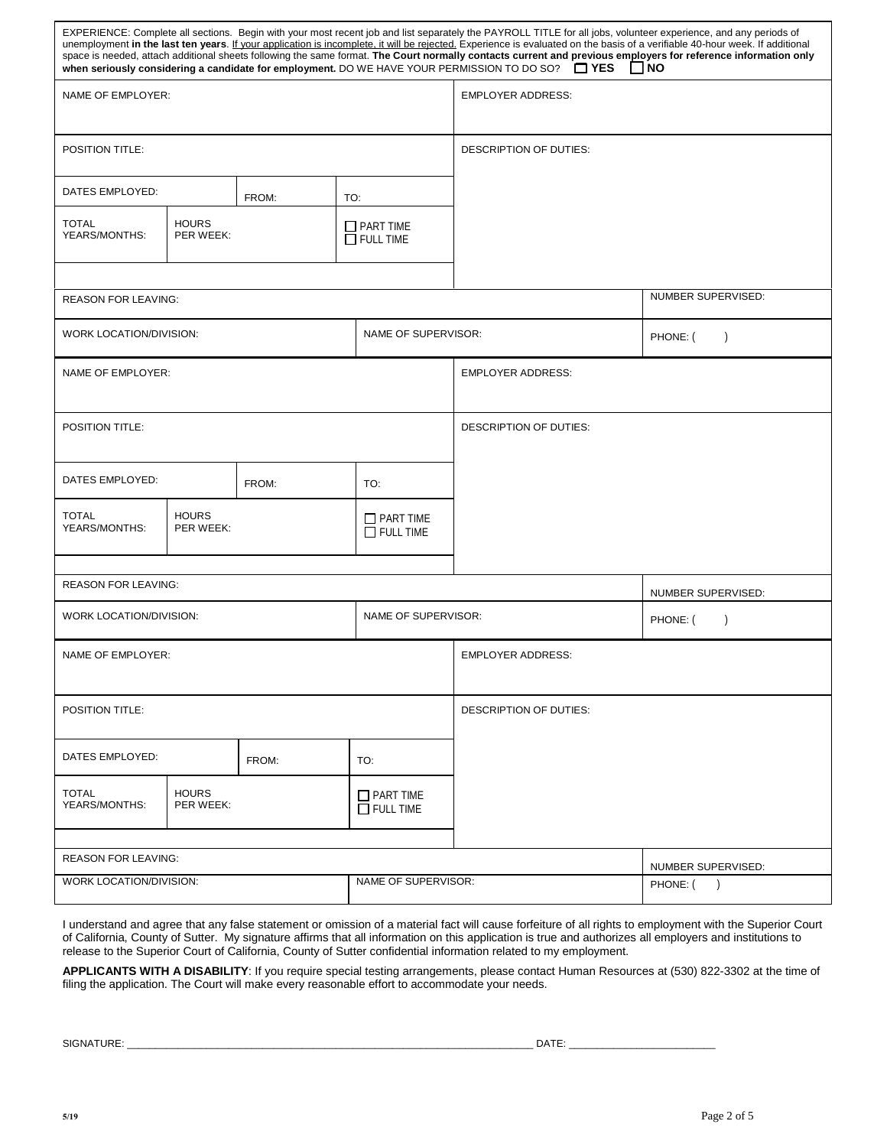|                                                            |                           |     |                                        | EXPERIENCE: Complete all sections. Begin with your most recent job and list separately the PAYROLL TITLE for all jobs, volunteer experience, and any periods of<br>unemployment in the last ten years. If your application is incomplete, it will be rejected. Experience is evaluated on the basis of a verifiable 40-hour week. If additional<br>space is needed, attach additional sheets following the same format. The Court normally contacts current and previous employers for reference information only<br>YES When seriously considering a candidate for employment. DO WE HAVE YOUR PERMISSION TO DO SO? | $\Box$ NO                 |  |
|------------------------------------------------------------|---------------------------|-----|----------------------------------------|----------------------------------------------------------------------------------------------------------------------------------------------------------------------------------------------------------------------------------------------------------------------------------------------------------------------------------------------------------------------------------------------------------------------------------------------------------------------------------------------------------------------------------------------------------------------------------------------------------------------|---------------------------|--|
| NAME OF EMPLOYER:                                          |                           |     |                                        | <b>EMPLOYER ADDRESS:</b>                                                                                                                                                                                                                                                                                                                                                                                                                                                                                                                                                                                             |                           |  |
| <b>POSITION TITLE:</b>                                     |                           |     |                                        | DESCRIPTION OF DUTIES:                                                                                                                                                                                                                                                                                                                                                                                                                                                                                                                                                                                               |                           |  |
| DATES EMPLOYED:<br>FROM:                                   |                           |     | TO:                                    |                                                                                                                                                                                                                                                                                                                                                                                                                                                                                                                                                                                                                      |                           |  |
| <b>TOTAL</b><br>YEARS/MONTHS:                              | <b>HOURS</b><br>PER WEEK: |     | $\Box$ PART TIME<br>$\Box$ FULL TIME   |                                                                                                                                                                                                                                                                                                                                                                                                                                                                                                                                                                                                                      |                           |  |
| <b>REASON FOR LEAVING:</b>                                 |                           |     |                                        |                                                                                                                                                                                                                                                                                                                                                                                                                                                                                                                                                                                                                      | NUMBER SUPERVISED:        |  |
| WORK LOCATION/DIVISION:                                    |                           |     | NAME OF SUPERVISOR:                    |                                                                                                                                                                                                                                                                                                                                                                                                                                                                                                                                                                                                                      | PHONE: (<br>$\lambda$     |  |
| NAME OF EMPLOYER:                                          |                           |     |                                        | <b>EMPLOYER ADDRESS:</b>                                                                                                                                                                                                                                                                                                                                                                                                                                                                                                                                                                                             |                           |  |
| POSITION TITLE:                                            |                           |     |                                        | <b>DESCRIPTION OF DUTIES:</b>                                                                                                                                                                                                                                                                                                                                                                                                                                                                                                                                                                                        |                           |  |
| DATES EMPLOYED:<br>FROM:                                   |                           | TO: |                                        |                                                                                                                                                                                                                                                                                                                                                                                                                                                                                                                                                                                                                      |                           |  |
| <b>TOTAL</b><br><b>HOURS</b><br>YEARS/MONTHS:<br>PER WEEK: |                           |     | $\Box$ PART TIME<br>$\Box$ FULL TIME   |                                                                                                                                                                                                                                                                                                                                                                                                                                                                                                                                                                                                                      |                           |  |
| <b>REASON FOR LEAVING:</b>                                 |                           |     |                                        |                                                                                                                                                                                                                                                                                                                                                                                                                                                                                                                                                                                                                      | NUMBER SUPERVISED:        |  |
| WORK LOCATION/DIVISION:<br>NAME OF SUPERVISOR:             |                           |     |                                        |                                                                                                                                                                                                                                                                                                                                                                                                                                                                                                                                                                                                                      | PHONE: (<br>$\mathcal{E}$ |  |
| NAME OF EMPLOYER:                                          |                           |     |                                        | <b>EMPLOYER ADDRESS:</b>                                                                                                                                                                                                                                                                                                                                                                                                                                                                                                                                                                                             |                           |  |
| POSITION TITLE:                                            |                           |     |                                        | DESCRIPTION OF DUTIES:                                                                                                                                                                                                                                                                                                                                                                                                                                                                                                                                                                                               |                           |  |
| DATES EMPLOYED:<br>FROM:                                   |                           | TO: |                                        |                                                                                                                                                                                                                                                                                                                                                                                                                                                                                                                                                                                                                      |                           |  |
| <b>TOTAL</b><br>YEARS/MONTHS:                              | <b>HOURS</b><br>PER WEEK: |     | $\sqcup$ part time<br>$\Box$ Full time |                                                                                                                                                                                                                                                                                                                                                                                                                                                                                                                                                                                                                      |                           |  |
| <b>REASON FOR LEAVING:</b>                                 |                           |     |                                        |                                                                                                                                                                                                                                                                                                                                                                                                                                                                                                                                                                                                                      | NUMBER SUPERVISED:        |  |
| NAME OF SUPERVISOR:<br>WORK LOCATION/DIVISION:             |                           |     |                                        |                                                                                                                                                                                                                                                                                                                                                                                                                                                                                                                                                                                                                      | PHONE: (<br>$\rightarrow$ |  |

I understand and agree that any false statement or omission of a material fact will cause forfeiture of all rights to employment with the Superior Court of California, County of Sutter. My signature affirms that all information on this application is true and authorizes all employers and institutions to release to the Superior Court of California, County of Sutter confidential information related to my employment.

**APPLICANTS WITH A DISABILITY**: If you require special testing arrangements, please contact Human Resources at (530) 822-3302 at the time of filing the application. The Court will make every reasonable effort to accommodate your needs.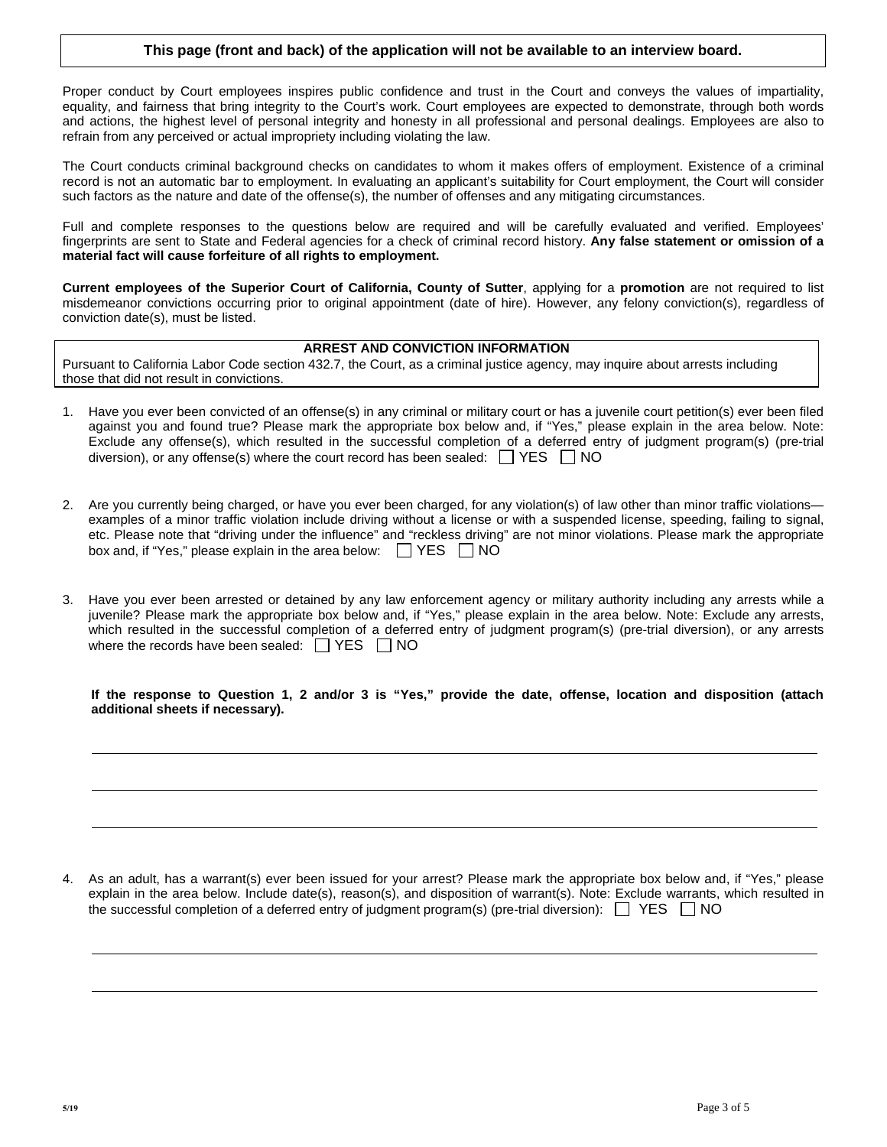# **This page (front and back) of the application will not be available to an interview board.**

Proper conduct by Court employees inspires public confidence and trust in the Court and conveys the values of impartiality, equality, and fairness that bring integrity to the Court's work. Court employees are expected to demonstrate, through both words and actions, the highest level of personal integrity and honesty in all professional and personal dealings. Employees are also to refrain from any perceived or actual impropriety including violating the law.

The Court conducts criminal background checks on candidates to whom it makes offers of employment. Existence of a criminal record is not an automatic bar to employment. In evaluating an applicant's suitability for Court employment, the Court will consider such factors as the nature and date of the offense(s), the number of offenses and any mitigating circumstances.

Full and complete responses to the questions below are required and will be carefully evaluated and verified. Employees' fingerprints are sent to State and Federal agencies for a check of criminal record history. **Any false statement or omission of a material fact will cause forfeiture of all rights to employment.**

**Current employees of the Superior Court of California, County of Sutter**, applying for a **promotion** are not required to list misdemeanor convictions occurring prior to original appointment (date of hire). However, any felony conviction(s), regardless of conviction date(s), must be listed.

# **ARREST AND CONVICTION INFORMATION**

Pursuant to California Labor Code section 432.7, the Court, as a criminal justice agency, may inquire about arrests including those that did not result in convictions.

- 1. Have you ever been convicted of an offense(s) in any criminal or military court or has a juvenile court petition(s) ever been filed against you and found true? Please mark the appropriate box below and, if "Yes," please explain in the area below. Note: Exclude any offense(s), which resulted in the successful completion of a deferred entry of judgment program(s) (pre-trial diversion), or any offense(s) where the court record has been sealed:  $\Box$  YES  $\Box$  NO
- 2. Are you currently being charged, or have you ever been charged, for any violation(s) of law other than minor traffic violations examples of a minor traffic violation include driving without a license or with a suspended license, speeding, failing to signal, etc. Please note that "driving under the influence" and "reckless driving" are not minor violations. Please mark the appropriate box and, if "Yes," please explain in the area below:  $\Box$  YES  $\Box$  NO
- 3. Have you ever been arrested or detained by any law enforcement agency or military authority including any arrests while a juvenile? Please mark the appropriate box below and, if "Yes," please explain in the area below. Note: Exclude any arrests, which resulted in the successful completion of a deferred entry of judgment program(s) (pre-trial diversion), or any arrests where the records have been sealed:  $\Box$  YES  $\Box$  NO

**If the response to Question 1, 2 and/or 3 is "Yes," provide the date, offense, location and disposition (attach additional sheets if necessary).** 

4. As an adult, has a warrant(s) ever been issued for your arrest? Please mark the appropriate box below and, if "Yes," please explain in the area below. Include date(s), reason(s), and disposition of warrant(s). Note: Exclude warrants, which resulted in the successful completion of a deferred entry of judgment program(s) (pre-trial diversion):  $\Box$  YES  $\Box$  NO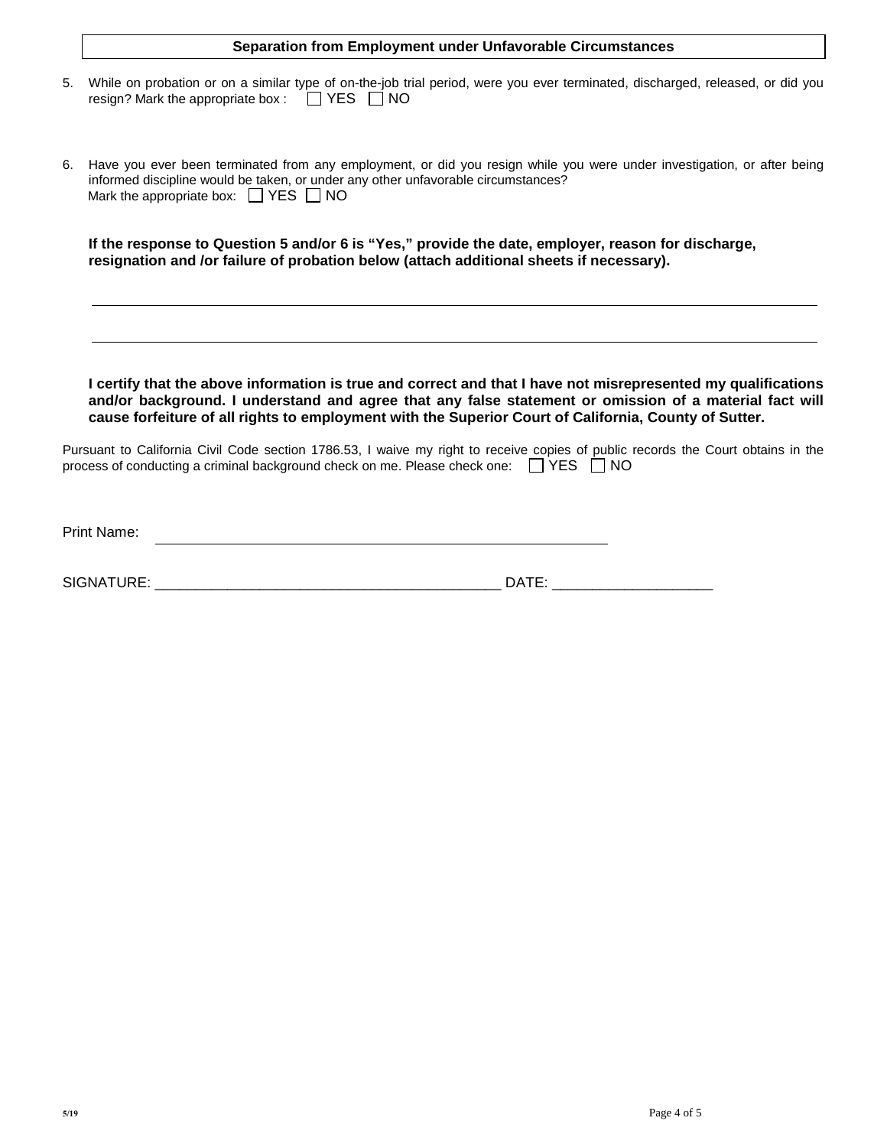|    | <b>Separation from Employment under Unfavorable Circumstances</b>                                                                                                                                                                                                                                                                |
|----|----------------------------------------------------------------------------------------------------------------------------------------------------------------------------------------------------------------------------------------------------------------------------------------------------------------------------------|
| 5. | While on probation or on a similar type of on-the-job trial period, were you ever terminated, discharged, released, or did you<br>resign? Mark the appropriate box: □ YES □ NO                                                                                                                                                   |
| 6. | Have you ever been terminated from any employment, or did you resign while you were under investigation, or after being<br>informed discipline would be taken, or under any other unfavorable circumstances?<br>Mark the appropriate box: T YES NO                                                                               |
|    | If the response to Question 5 and/or 6 is "Yes," provide the date, employer, reason for discharge,<br>resignation and /or failure of probation below (attach additional sheets if necessary).                                                                                                                                    |
|    |                                                                                                                                                                                                                                                                                                                                  |
|    | I certify that the above information is true and correct and that I have not misrepresented my qualifications<br>and/or background. I understand and agree that any false statement or omission of a material fact will<br>cause forfeiture of all rights to employment with the Superior Court of California, County of Sutter. |
|    | Pursuant to California Civil Code section 1786.53, I waive my right to receive copies of public records the Court obtains in the<br>process of conducting a criminal background check on me. Please check one: $\Box$ YES $\Box$ NO                                                                                              |
|    | <b>Print Name:</b>                                                                                                                                                                                                                                                                                                               |

| <b>SIGNAT</b><br><b>IDE</b><br>. . | - 6 A T F<br>١Δ |
|------------------------------------|-----------------|
| .                                  |                 |